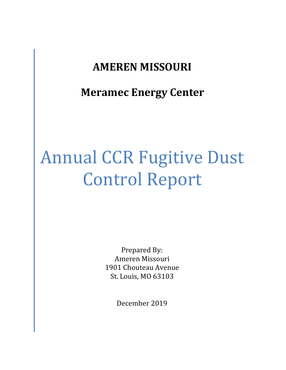# **AMEREN MISSOURI**

**Meramec Energy Center**

# Annual CCR Fugitive Dust Control Report

Prepared By: Ameren Missouri 1901 Chouteau Avenue St. Louis, MO 63103

December 2019